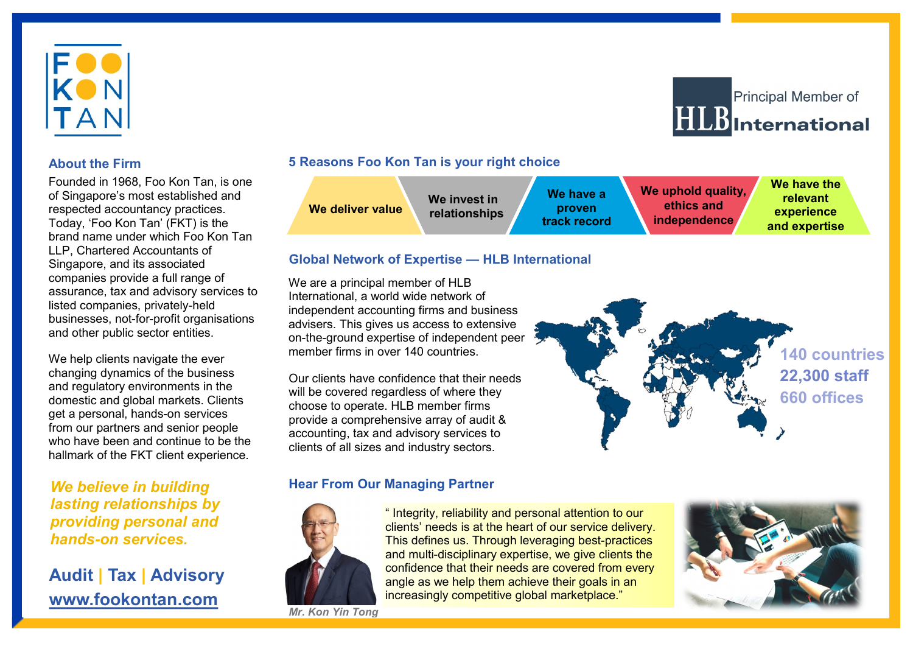

# **About the Firm**

Founded in 1968, Foo Kon Tan, is one of Singapore's most established and respected accountancy practices. Today, 'Foo Kon Tan' (FKT) is the brand name under which Foo Kon Tan LLP, Chartered Accountants of Singapore, and its associated companies provide a full range of assurance, tax and advisory services to listed companies, privately-held businesses, not-for-profit organisations and other public sector entities.

We help clients navigate the ever changing dynamics of the business and regulatory environments in the domestic and global markets. Clients get a personal, hands-on services from our partners and senior people who have been and continue to be the hallmark of the FKT client experience.

*We believe in building lasting relationships by providing personal and hands-on services.*

# **Audit | Tax | Advisory www.fookontan.com**

### **5 Reasons Foo Kon Tan is your right choice**



#### **Global Network of Expertise — HLB International**

We are a principal member of HLB International, a world wide network of independent accounting firms and business advisers. This gives us access to extensive on-the-ground expertise of independent peer member firms in over 140 countries.

Our clients have confidence that their needs will be covered regardless of where they choose to operate. HLB member firms provide a comprehensive array of audit & accounting, tax and advisory services to clients of all sizes and industry sectors.

# **140 countries 22,300 staff 660 offices**

# **Hear From Our Managing Partner**



" Integrity, reliability and personal attention to our clients' needs is at the heart of our service delivery. This defines us. Through leveraging best-practices and multi-disciplinary expertise, we give clients the confidence that their needs are covered from every angle as we help them achieve their goals in an increasingly competitive global marketplace."

*Mr. Kon Yin Tong*



**Principal Member of** 

 $HLB$ International